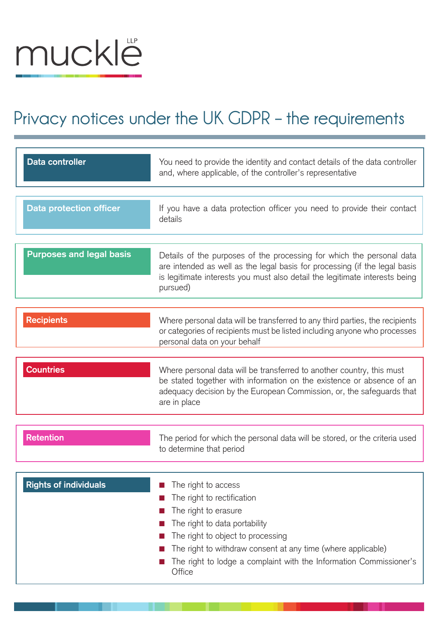## muckle

## **Privacy notices under the UK GDPR – the requirements**

| Data controller                 | You need to provide the identity and contact details of the data controller<br>and, where applicable, of the controller's representative                                                                                                                                                        |
|---------------------------------|-------------------------------------------------------------------------------------------------------------------------------------------------------------------------------------------------------------------------------------------------------------------------------------------------|
| <b>Data protection officer</b>  | If you have a data protection officer you need to provide their contact<br>details                                                                                                                                                                                                              |
| <b>Purposes and legal basis</b> | Details of the purposes of the processing for which the personal data<br>are intended as well as the legal basis for processing (if the legal basis<br>is legitimate interests you must also detail the legitimate interests being<br>pursued)                                                  |
| <b>Recipients</b>               | Where personal data will be transferred to any third parties, the recipients<br>or categories of recipients must be listed including anyone who processes<br>personal data on your behalf                                                                                                       |
| <b>Countries</b>                | Where personal data will be transferred to another country, this must<br>be stated together with information on the existence or absence of an<br>adequacy decision by the European Commission, or, the safeguards that<br>are in place                                                         |
| <b>Retention</b>                | The period for which the personal data will be stored, or the criteria used<br>to determine that period                                                                                                                                                                                         |
| <b>Rights of individuals</b>    | The right to access<br>The right to rectification<br>The right to erasure<br>The right to data portability<br>The right to object to processing<br>The right to withdraw consent at any time (where applicable)<br>The right to lodge a complaint with the Information Commissioner's<br>Office |